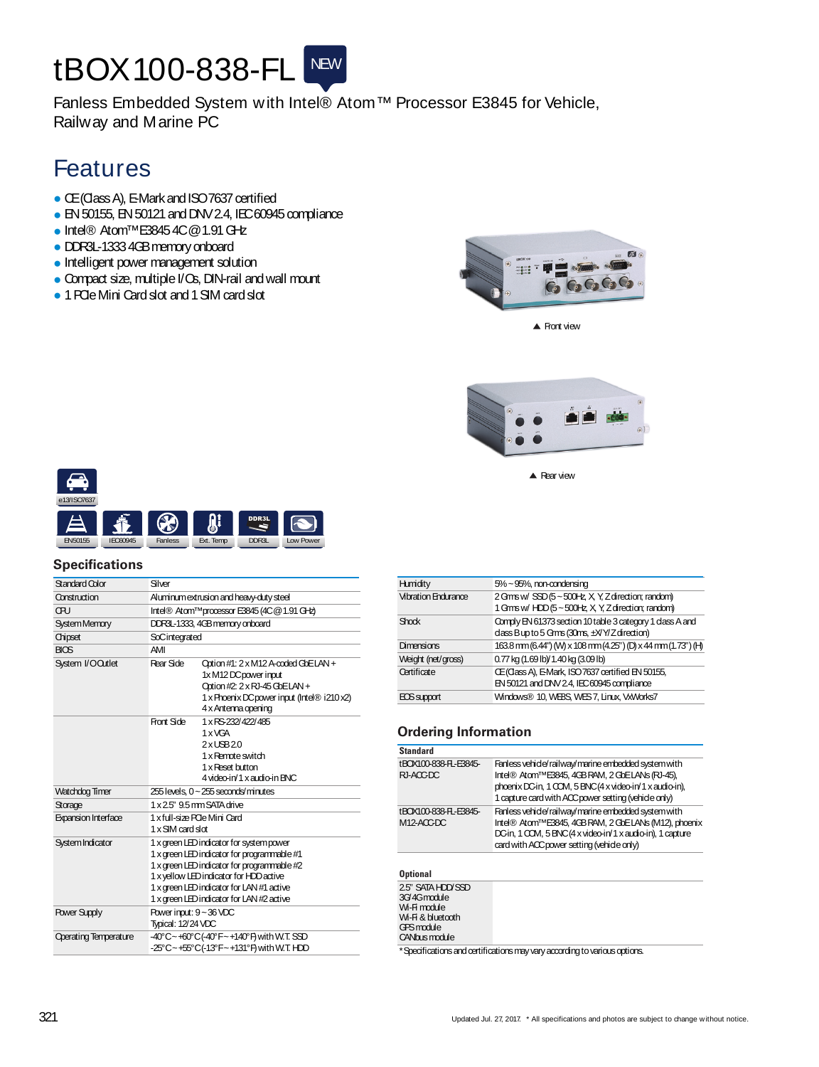# tBOX100-838-FL NEW

Fanless Embedded System with Intel® Atom™ Processor E3845 for Vehicle, Railway and Marine PC

## Features

- CE(Class A), E-Mark and ISO 7637 certified
- EN 50155, EN 50121 and DNV 2.4, IEC 60945 compliance
- Intel® Atom™E3845 4C @ 1.91 GHz
- DDR3L-13334GBmemoryonboard
- Intelligent power management solution
- Compact size, multiple I/Os, DIN-rail and wall mount
- 1 POIe Mini Card slot and 1 SIM card slot



 $\triangle$  Front view



▲ Rear view



### **Specifications**

| Standard Color               | Siver                                                                                                                                                                                                                                                                       |                                                                                                                                                                     |
|------------------------------|-----------------------------------------------------------------------------------------------------------------------------------------------------------------------------------------------------------------------------------------------------------------------------|---------------------------------------------------------------------------------------------------------------------------------------------------------------------|
| Construction                 | Aluminum extrusion and heavy-duty steel                                                                                                                                                                                                                                     |                                                                                                                                                                     |
| ŒU                           |                                                                                                                                                                                                                                                                             | Intel® Atom™processor E3845 (4C @ 1.91 GHz)                                                                                                                         |
| <b>System Memory</b>         |                                                                                                                                                                                                                                                                             | DDR3L-1333, 4GB memory onboard                                                                                                                                      |
| Chipset                      | SoCintegrated                                                                                                                                                                                                                                                               |                                                                                                                                                                     |
| <b>BIOS</b>                  | AMI                                                                                                                                                                                                                                                                         |                                                                                                                                                                     |
| System I/OQutlet             | Rear Side                                                                                                                                                                                                                                                                   | Option #1: 2 x M12 A-coded GbELAN +<br>1x M12 DC power input<br>Option #2: 2 x RJ-45 GbELAN +<br>1 x Phoenix DC power input (Intel® i210 x2)<br>4 x Antenna opening |
|                              | Front Side                                                                                                                                                                                                                                                                  | 1 x RS-232/422/485<br>1 x VGA<br>2xUBB20<br>1 x Remote switch<br>1 x Reset button<br>4 video-in/1 x audio-in BNC                                                    |
| Watchdog Timer               |                                                                                                                                                                                                                                                                             | 255 levels. 0~255 seconds/minutes                                                                                                                                   |
| Storage                      | 1 x 2.5" 9.5 mm SATA drive                                                                                                                                                                                                                                                  |                                                                                                                                                                     |
| <b>Expansion Interface</b>   | 1 x full-size POe Mini Card<br>1 x SIM card slot                                                                                                                                                                                                                            |                                                                                                                                                                     |
| System Indicator             | 1 x green LED indicator for system power<br>1 x green LED indicator for programmable #1<br>1 x green LED indicator for programmable #2<br>1 x yellow LED indicator for HDD active<br>1 x green LED indicator for LAN #1 active<br>1 x green LED indicator for LAN #2 active |                                                                                                                                                                     |
| <b>Power Supply</b>          | Power input: 9~36 VDC<br>Typical: 12/24 VDC                                                                                                                                                                                                                                 |                                                                                                                                                                     |
| <b>Operating Temperature</b> |                                                                                                                                                                                                                                                                             | -40°C~+60°C(-40°F~+140°F) with W.T. SSD<br>-25°C~+55°C(-13°F~+131°F) with W.T. HDD                                                                                  |

| Humidity                   | $5\%$ $\sim$ 95%, non-condensing                                                                           |
|----------------------------|------------------------------------------------------------------------------------------------------------|
| <b>Vibration Endurance</b> | 2 Gms w/ SSD (5 ~ 500Hz, X, Y, Z direction; random)<br>1 Gms w/ HDD (5 ~ 500Hz, X, Y, Z direction; random) |
| <b>Shock</b>               | Comply EN 61373 section 10 table 3 category 1 dass A and<br>dass Bup to 5 Gms (30ms, ±X/Y/Z direction)     |
| <b>Dimensions</b>          | 163.8 mm (6.44") (M) x 108 mm (4.25") (D) x 44 mm (1.73") (H)                                              |
| Weight (net/gross)         | 0.77 kg (1.69 lb)/ 1.40 kg (3.09 lb)                                                                       |
| Certificate                | CE (Class A), E-Mark, ISO 7637 certified EN 50155,<br>EN 50121 and DNV 2.4, IEC 60945 compliance           |
| <b>ECS</b> support         | Windows® 10, WEBS, WES 7, Linux, VxWorks7                                                                  |

#### **Ordering Information**

| <b>Standard</b>                                                                                     |                                                                                                                                                                                                                           |
|-----------------------------------------------------------------------------------------------------|---------------------------------------------------------------------------------------------------------------------------------------------------------------------------------------------------------------------------|
| tBOX100-838-FL-E3845-<br>RI-ACC-DC                                                                  | Fanless vehicle/railway/marine embedded system with<br>Intel® Atom™E3845, 4GB RAM, 2 GbELANs (RJ-45),<br>phoenix DC-in, 1 COM, 5 BNC (4 x video-in/1 x audio-in),<br>1 capture card with ACC power setting (vehicle only) |
| tBOX100-838-FL-E3845-<br>$M12-ACCDC$                                                                | Fanless vehicle/railway/marine embedded system with<br>Intel® Atom™E3845, 4GB RAM, 2 GbELANs (M12), phoenix<br>DGin, 1 COM, 5 BNC (4 x video-in/1 x audio-in), 1 capture<br>card with ACC power setting (vehide only)     |
| <b>Optional</b>                                                                                     |                                                                                                                                                                                                                           |
| 2.5" SATA HDD/SSD<br>3G/4Gmodule<br>Wi-Fimodule<br>Wi-Fi & bluetooth<br>GPS module<br>CANbus module |                                                                                                                                                                                                                           |
|                                                                                                     | * Specifications and pertifications may vany according to various options.                                                                                                                                                |

sinay vary according to va